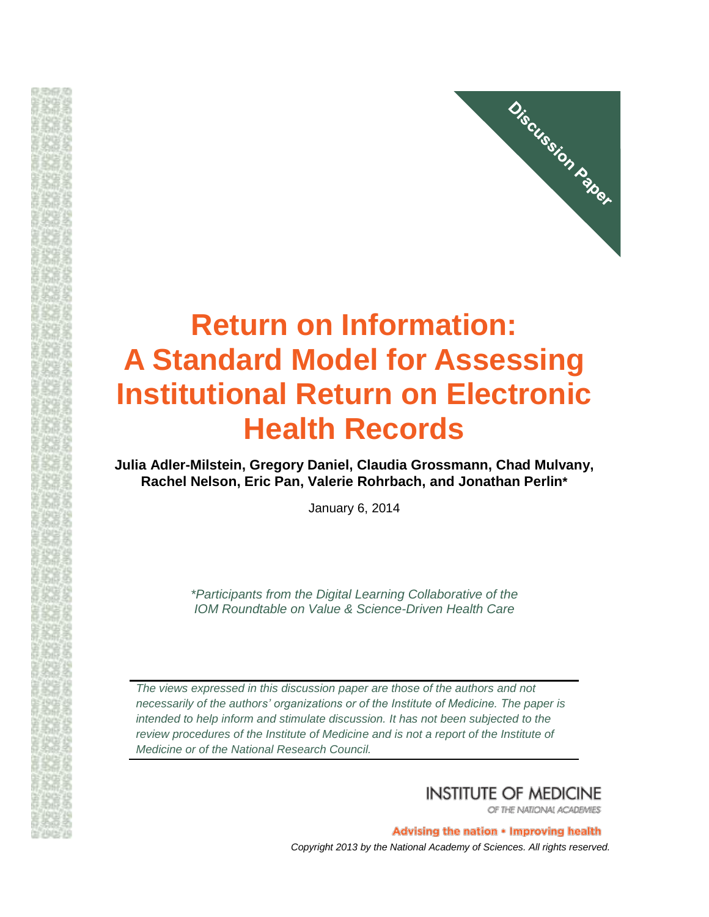

# **Return on Information: A Standard Model for Assessing Institutional Return on Electronic Health Records**

**Julia Adler-Milstein, Gregory Daniel, Claudia Grossmann, Chad Mulvany, Rachel Nelson, Eric Pan, Valerie Rohrbach, and Jonathan Perlin\*** 

January 6, 2014

*\*Participants from the Digital Learning Collaborative of the IOM Roundtable on Value & Science-Driven Health Care*

*The views expressed in this discussion paper are those of the authors and not necessarily of the authors' organizations or of the Institute of Medicine. The paper is intended to help inform and stimulate discussion. It has not been subjected to the review procedures of the Institute of Medicine and is not a report of the Institute of Medicine or of the National Research Council.*

**INSTITUTE OF MEDICINE** 

OF THE NATIONAL ACADEMIES

Advising the nation • Improving health *Copyright 2013 by the National Academy of Sciences. All rights reserved.*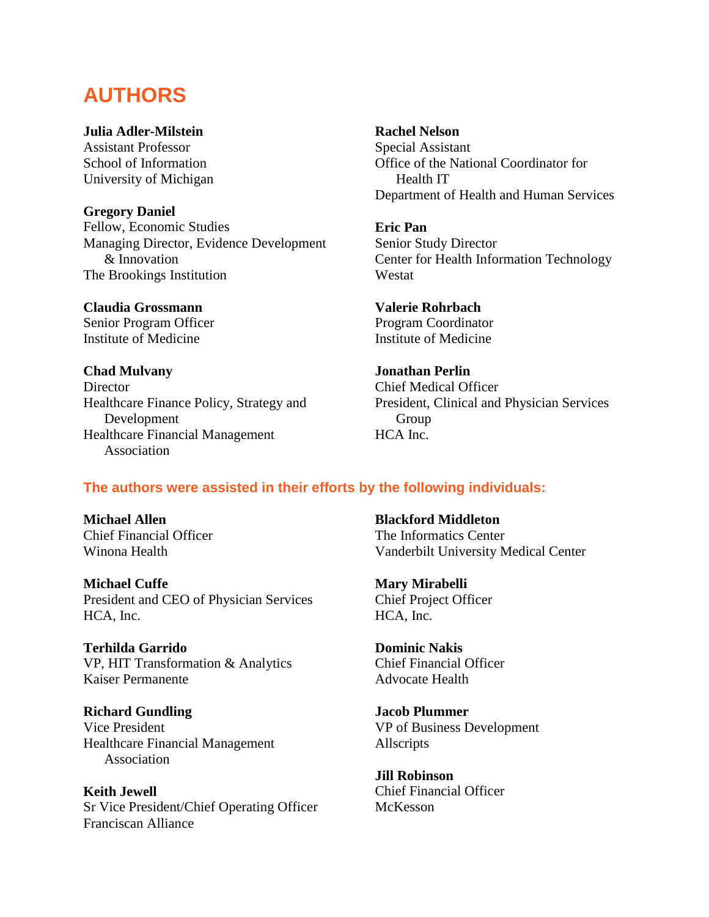# **AUTHORS**

# **Julia Adler-Milstein**

Assistant Professor School of Information University of Michigan

# **Gregory Daniel**

Fellow, Economic Studies Managing Director, Evidence Development & Innovation The Brookings Institution

**Claudia Grossmann**  Senior Program Officer Institute of Medicine

**Chad Mulvany Director** Healthcare Finance Policy, Strategy and Development Healthcare Financial Management Association

# **Rachel Nelson**

Special Assistant Office of the National Coordinator for Health IT Department of Health and Human Services

# **Eric Pan**

Senior Study Director Center for Health Information Technology Westat

**Valerie Rohrbach**  Program Coordinator Institute of Medicine

# **Jonathan Perlin**  Chief Medical Officer President, Clinical and Physician Services Group HCA Inc.

# **The authors were assisted in their efforts by the following individuals:**

**Michael Allen**  Chief Financial Officer Winona Health

**Michael Cuffe**  President and CEO of Physician Services HCA, Inc.

**Terhilda Garrido**  VP, HIT Transformation & Analytics Kaiser Permanente

**Richard Gundling**  Vice President Healthcare Financial Management Association

**Keith Jewell**  Sr Vice President/Chief Operating Officer Franciscan Alliance

**Blackford Middleton**  The Informatics Center Vanderbilt University Medical Center

**Mary Mirabelli**  Chief Project Officer HCA, Inc.

**Dominic Nakis**  Chief Financial Officer Advocate Health

**Jacob Plummer**  VP of Business Development Allscripts

**Jill Robinson**  Chief Financial Officer McKesson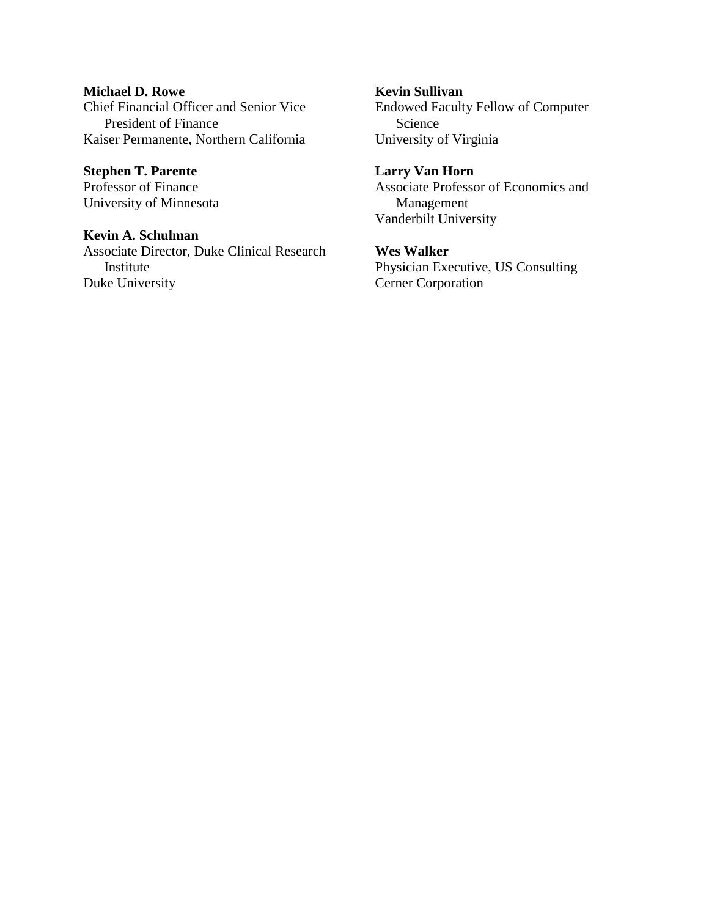**Michael D. Rowe**  Chief Financial Officer and Senior Vice President of Finance Kaiser Permanente, Northern California

**Stephen T. Parente**  Professor of Finance University of Minnesota

**Kevin A. Schulman**  Associate Director, Duke Clinical Research Institute Duke University

**Kevin Sullivan**  Endowed Faculty Fellow of Computer Science University of Virginia

**Larry Van Horn**  Associate Professor of Economics and Management Vanderbilt University

**Wes Walker**  Physician Executive, US Consulting Cerner Corporation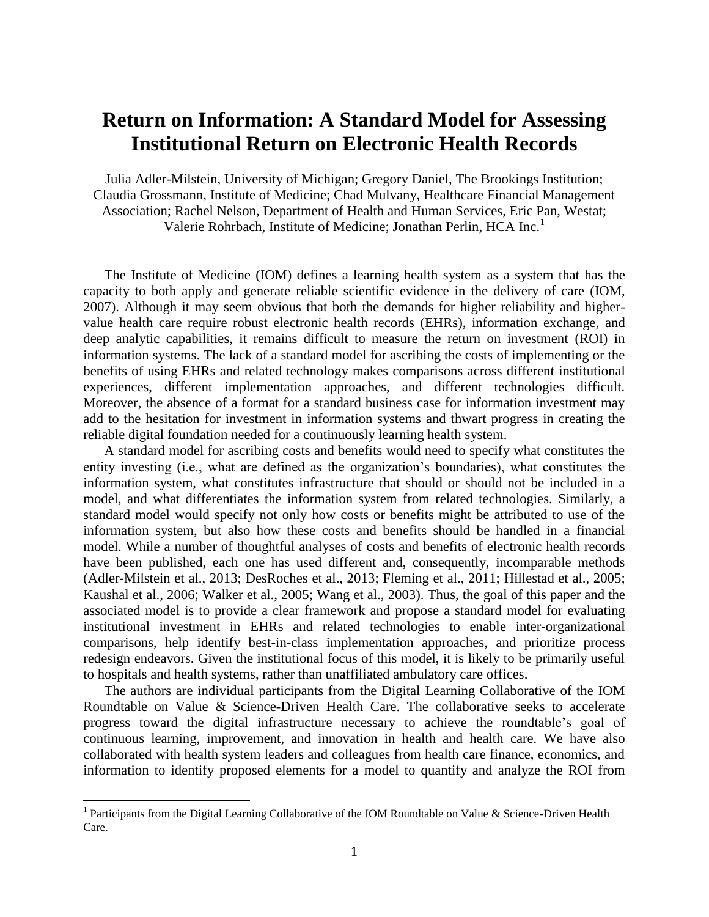# **Return on Information: A Standard Model for Assessing Institutional Return on Electronic Health Records**

Julia Adler-Milstein, University of Michigan; Gregory Daniel, The Brookings Institution; Claudia Grossmann, Institute of Medicine; Chad Mulvany, Healthcare Financial Management Association; Rachel Nelson, Department of Health and Human Services, Eric Pan, Westat; Valerie Rohrbach, Institute of Medicine; Jonathan Perlin, HCA Inc.<sup>1</sup>

The Institute of Medicine (IOM) defines a learning health system as a system that has the capacity to both apply and generate reliable scientific evidence in the delivery of care (IOM, 2007). Although it may seem obvious that both the demands for higher reliability and highervalue health care require robust electronic health records (EHRs), information exchange, and deep analytic capabilities, it remains difficult to measure the return on investment (ROI) in information systems. The lack of a standard model for ascribing the costs of implementing or the benefits of using EHRs and related technology makes comparisons across different institutional experiences, different implementation approaches, and different technologies difficult. Moreover, the absence of a format for a standard business case for information investment may add to the hesitation for investment in information systems and thwart progress in creating the reliable digital foundation needed for a continuously learning health system.

A standard model for ascribing costs and benefits would need to specify what constitutes the entity investing (i.e., what are defined as the organization's boundaries), what constitutes the information system, what constitutes infrastructure that should or should not be included in a model, and what differentiates the information system from related technologies. Similarly, a standard model would specify not only how costs or benefits might be attributed to use of the information system, but also how these costs and benefits should be handled in a financial model. While a number of thoughtful analyses of costs and benefits of electronic health records have been published, each one has used different and, consequently, incomparable methods (Adler-Milstein et al., 2013; DesRoches et al., 2013; Fleming et al., 2011; Hillestad et al., 2005; Kaushal et al., 2006; Walker et al., 2005; Wang et al., 2003). Thus, the goal of this paper and the associated model is to provide a clear framework and propose a standard model for evaluating institutional investment in EHRs and related technologies to enable inter-organizational comparisons, help identify best-in-class implementation approaches, and prioritize process redesign endeavors. Given the institutional focus of this model, it is likely to be primarily useful to hospitals and health systems, rather than unaffiliated ambulatory care offices.

The authors are individual participants from the Digital Learning Collaborative of the IOM Roundtable on Value & Science-Driven Health Care. The collaborative seeks to accelerate progress toward the digital infrastructure necessary to achieve the roundtable's goal of continuous learning, improvement, and innovation in health and health care. We have also collaborated with health system leaders and colleagues from health care finance, economics, and information to identify proposed elements for a model to quantify and analyze the ROI from

<sup>&</sup>lt;sup>1</sup> Participants from the Digital Learning Collaborative of the IOM Roundtable on Value & Science-Driven Health Care.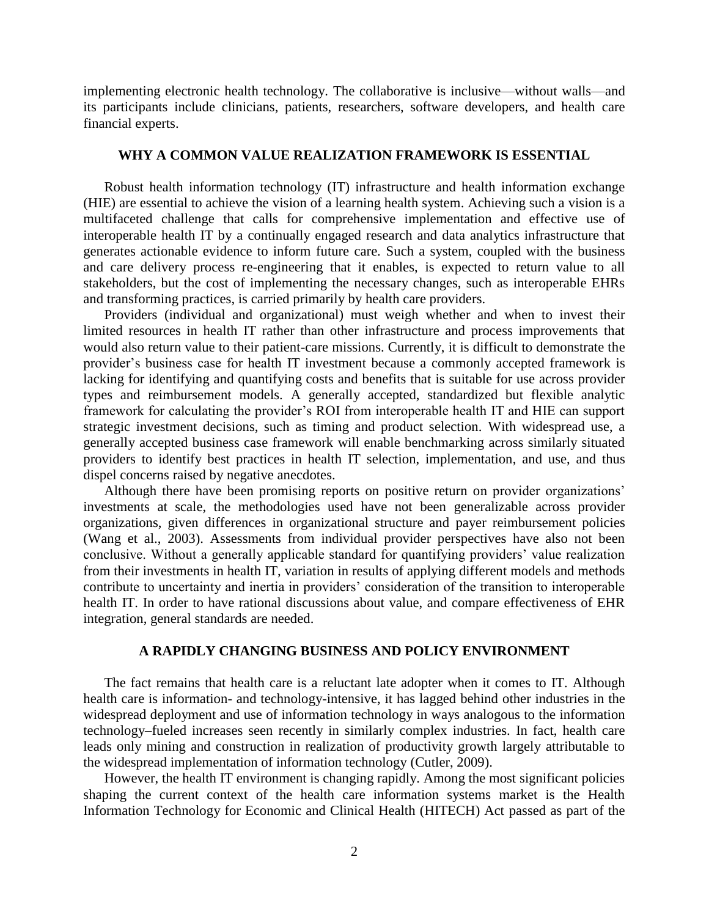implementing electronic health technology. The collaborative is inclusive—without walls—and its participants include clinicians, patients, researchers, software developers, and health care financial experts.

### **WHY A COMMON VALUE REALIZATION FRAMEWORK IS ESSENTIAL**

Robust health information technology (IT) infrastructure and health information exchange (HIE) are essential to achieve the vision of a learning health system. Achieving such a vision is a multifaceted challenge that calls for comprehensive implementation and effective use of interoperable health IT by a continually engaged research and data analytics infrastructure that generates actionable evidence to inform future care. Such a system, coupled with the business and care delivery process re-engineering that it enables, is expected to return value to all stakeholders, but the cost of implementing the necessary changes, such as interoperable EHRs and transforming practices, is carried primarily by health care providers.

Providers (individual and organizational) must weigh whether and when to invest their limited resources in health IT rather than other infrastructure and process improvements that would also return value to their patient-care missions. Currently, it is difficult to demonstrate the provider's business case for health IT investment because a commonly accepted framework is lacking for identifying and quantifying costs and benefits that is suitable for use across provider types and reimbursement models. A generally accepted, standardized but flexible analytic framework for calculating the provider's ROI from interoperable health IT and HIE can support strategic investment decisions, such as timing and product selection. With widespread use, a generally accepted business case framework will enable benchmarking across similarly situated providers to identify best practices in health IT selection, implementation, and use, and thus dispel concerns raised by negative anecdotes.

Although there have been promising reports on positive return on provider organizations' investments at scale, the methodologies used have not been generalizable across provider organizations, given differences in organizational structure and payer reimbursement policies (Wang et al., 2003). Assessments from individual provider perspectives have also not been conclusive. Without a generally applicable standard for quantifying providers' value realization from their investments in health IT, variation in results of applying different models and methods contribute to uncertainty and inertia in providers' consideration of the transition to interoperable health IT. In order to have rational discussions about value, and compare effectiveness of EHR integration, general standards are needed.

### **A RAPIDLY CHANGING BUSINESS AND POLICY ENVIRONMENT**

The fact remains that health care is a reluctant late adopter when it comes to IT. Although health care is information- and technology-intensive, it has lagged behind other industries in the widespread deployment and use of information technology in ways analogous to the information technology–fueled increases seen recently in similarly complex industries. In fact, health care leads only mining and construction in realization of productivity growth largely attributable to the widespread implementation of information technology (Cutler, 2009).

However, the health IT environment is changing rapidly. Among the most significant policies shaping the current context of the health care information systems market is the Health Information Technology for Economic and Clinical Health (HITECH) Act passed as part of the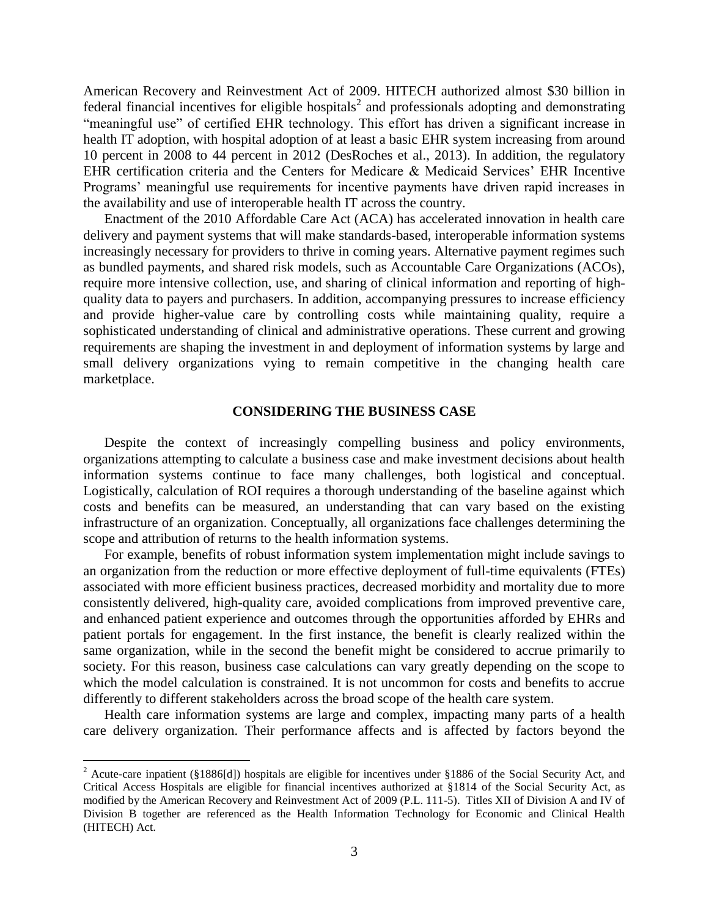American Recovery and Reinvestment Act of 2009. HITECH authorized almost \$30 billion in federal financial incentives for eligible hospitals<sup>2</sup> and professionals adopting and demonstrating "meaningful use" of certified EHR technology. This effort has driven a significant increase in health IT adoption, with hospital adoption of at least a basic EHR system increasing from around 10 percent in 2008 to 44 percent in 2012 (DesRoches et al., 2013). In addition, the regulatory EHR certification criteria and the Centers for Medicare & Medicaid Services' EHR Incentive Programs' meaningful use requirements for incentive payments have driven rapid increases in the availability and use of interoperable health IT across the country.

Enactment of the 2010 Affordable Care Act (ACA) has accelerated innovation in health care delivery and payment systems that will make standards-based, interoperable information systems increasingly necessary for providers to thrive in coming years. Alternative payment regimes such as bundled payments, and shared risk models, such as Accountable Care Organizations (ACOs), require more intensive collection, use, and sharing of clinical information and reporting of highquality data to payers and purchasers. In addition, accompanying pressures to increase efficiency and provide higher-value care by controlling costs while maintaining quality, require a sophisticated understanding of clinical and administrative operations. These current and growing requirements are shaping the investment in and deployment of information systems by large and small delivery organizations vying to remain competitive in the changing health care marketplace.

#### **CONSIDERING THE BUSINESS CASE**

Despite the context of increasingly compelling business and policy environments, organizations attempting to calculate a business case and make investment decisions about health information systems continue to face many challenges, both logistical and conceptual. Logistically, calculation of ROI requires a thorough understanding of the baseline against which costs and benefits can be measured, an understanding that can vary based on the existing infrastructure of an organization. Conceptually, all organizations face challenges determining the scope and attribution of returns to the health information systems.

For example, benefits of robust information system implementation might include savings to an organization from the reduction or more effective deployment of full-time equivalents (FTEs) associated with more efficient business practices, decreased morbidity and mortality due to more consistently delivered, high-quality care, avoided complications from improved preventive care, and enhanced patient experience and outcomes through the opportunities afforded by EHRs and patient portals for engagement. In the first instance, the benefit is clearly realized within the same organization, while in the second the benefit might be considered to accrue primarily to society. For this reason, business case calculations can vary greatly depending on the scope to which the model calculation is constrained. It is not uncommon for costs and benefits to accrue differently to different stakeholders across the broad scope of the health care system.

Health care information systems are large and complex, impacting many parts of a health care delivery organization. Their performance affects and is affected by factors beyond the

<sup>&</sup>lt;sup>2</sup> Acute-care inpatient (§1886[d]) hospitals are eligible for incentives under §1886 of the Social Security Act, and Critical Access Hospitals are eligible for financial incentives authorized at §1814 of the Social Security Act, as modified by the American Recovery and Reinvestment Act of 2009 (P.L. 111-5). Titles XII of Division A and IV of Division B together are referenced as the Health Information Technology for Economic and Clinical Health (HITECH) Act.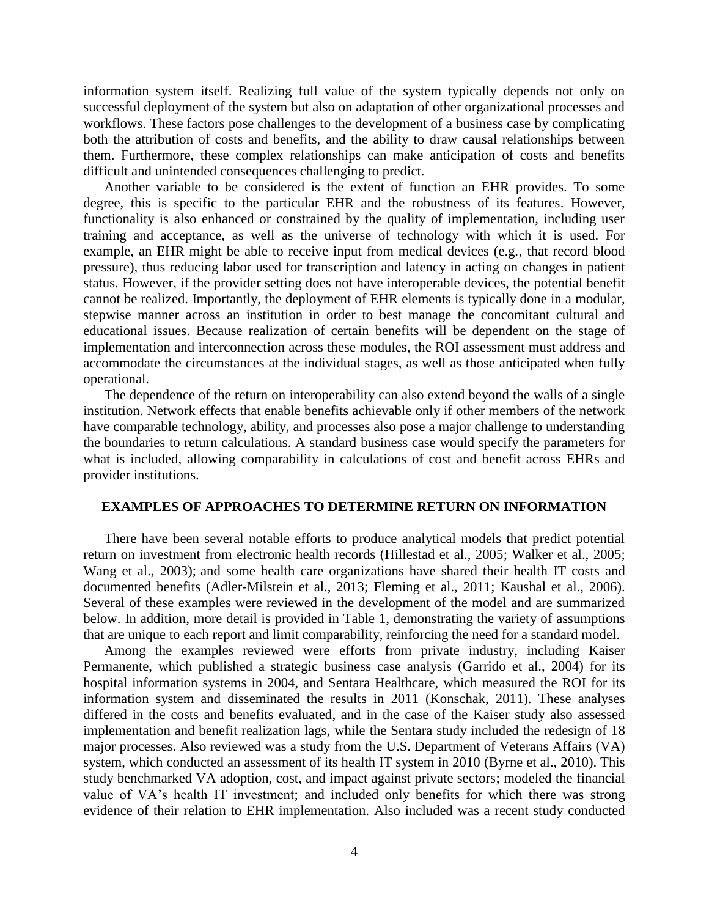information system itself. Realizing full value of the system typically depends not only on successful deployment of the system but also on adaptation of other organizational processes and workflows. These factors pose challenges to the development of a business case by complicating both the attribution of costs and benefits, and the ability to draw causal relationships between them. Furthermore, these complex relationships can make anticipation of costs and benefits difficult and unintended consequences challenging to predict.

Another variable to be considered is the extent of function an EHR provides. To some degree, this is specific to the particular EHR and the robustness of its features. However, functionality is also enhanced or constrained by the quality of implementation, including user training and acceptance, as well as the universe of technology with which it is used. For example, an EHR might be able to receive input from medical devices (e.g., that record blood pressure), thus reducing labor used for transcription and latency in acting on changes in patient status. However, if the provider setting does not have interoperable devices, the potential benefit cannot be realized. Importantly, the deployment of EHR elements is typically done in a modular, stepwise manner across an institution in order to best manage the concomitant cultural and educational issues. Because realization of certain benefits will be dependent on the stage of implementation and interconnection across these modules, the ROI assessment must address and accommodate the circumstances at the individual stages, as well as those anticipated when fully operational.

The dependence of the return on interoperability can also extend beyond the walls of a single institution. Network effects that enable benefits achievable only if other members of the network have comparable technology, ability, and processes also pose a major challenge to understanding the boundaries to return calculations. A standard business case would specify the parameters for what is included, allowing comparability in calculations of cost and benefit across EHRs and provider institutions.

#### **EXAMPLES OF APPROACHES TO DETERMINE RETURN ON INFORMATION**

There have been several notable efforts to produce analytical models that predict potential return on investment from electronic health records (Hillestad et al., 2005; Walker et al., 2005; Wang et al., 2003); and some health care organizations have shared their health IT costs and documented benefits (Adler-Milstein et al., 2013; Fleming et al., 2011; Kaushal et al., 2006). Several of these examples were reviewed in the development of the model and are summarized below. In addition, more detail is provided in Table 1, demonstrating the variety of assumptions that are unique to each report and limit comparability, reinforcing the need for a standard model.

Among the examples reviewed were efforts from private industry, including Kaiser Permanente, which published a strategic business case analysis (Garrido et al., 2004) for its hospital information systems in 2004, and Sentara Healthcare, which measured the ROI for its information system and disseminated the results in 2011 (Konschak, 2011). These analyses differed in the costs and benefits evaluated, and in the case of the Kaiser study also assessed implementation and benefit realization lags, while the Sentara study included the redesign of 18 major processes. Also reviewed was a study from the U.S. Department of Veterans Affairs (VA) system, which conducted an assessment of its health IT system in 2010 (Byrne et al., 2010). This study benchmarked VA adoption, cost, and impact against private sectors; modeled the financial value of VA's health IT investment; and included only benefits for which there was strong evidence of their relation to EHR implementation. Also included was a recent study conducted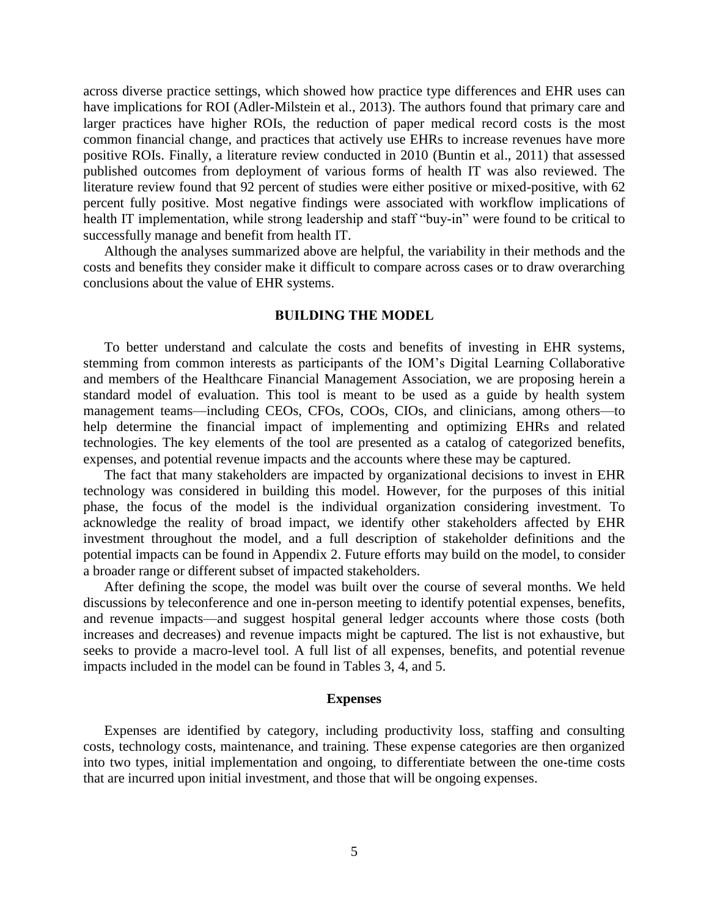across diverse practice settings, which showed how practice type differences and EHR uses can have implications for ROI (Adler-Milstein et al., 2013). The authors found that primary care and larger practices have higher ROIs, the reduction of paper medical record costs is the most common financial change, and practices that actively use EHRs to increase revenues have more positive ROIs. Finally, a literature review conducted in 2010 (Buntin et al., 2011) that assessed published outcomes from deployment of various forms of health IT was also reviewed. The literature review found that 92 percent of studies were either positive or mixed-positive, with 62 percent fully positive. Most negative findings were associated with workflow implications of health IT implementation, while strong leadership and staff "buy-in" were found to be critical to successfully manage and benefit from health IT.

Although the analyses summarized above are helpful, the variability in their methods and the costs and benefits they consider make it difficult to compare across cases or to draw overarching conclusions about the value of EHR systems.

#### **BUILDING THE MODEL**

To better understand and calculate the costs and benefits of investing in EHR systems, stemming from common interests as participants of the IOM's Digital Learning Collaborative and members of the Healthcare Financial Management Association, we are proposing herein a standard model of evaluation. This tool is meant to be used as a guide by health system management teams—including CEOs, CFOs, COOs, CIOs, and clinicians, among others—to help determine the financial impact of implementing and optimizing EHRs and related technologies. The key elements of the tool are presented as a catalog of categorized benefits, expenses, and potential revenue impacts and the accounts where these may be captured.

The fact that many stakeholders are impacted by organizational decisions to invest in EHR technology was considered in building this model. However, for the purposes of this initial phase, the focus of the model is the individual organization considering investment. To acknowledge the reality of broad impact, we identify other stakeholders affected by EHR investment throughout the model, and a full description of stakeholder definitions and the potential impacts can be found in Appendix 2. Future efforts may build on the model, to consider a broader range or different subset of impacted stakeholders.

After defining the scope, the model was built over the course of several months. We held discussions by teleconference and one in-person meeting to identify potential expenses, benefits, and revenue impacts—and suggest hospital general ledger accounts where those costs (both increases and decreases) and revenue impacts might be captured. The list is not exhaustive, but seeks to provide a macro-level tool. A full list of all expenses, benefits, and potential revenue impacts included in the model can be found in Tables 3, 4, and 5.

#### **Expenses**

Expenses are identified by category, including productivity loss, staffing and consulting costs, technology costs, maintenance, and training. These expense categories are then organized into two types, initial implementation and ongoing, to differentiate between the one-time costs that are incurred upon initial investment, and those that will be ongoing expenses.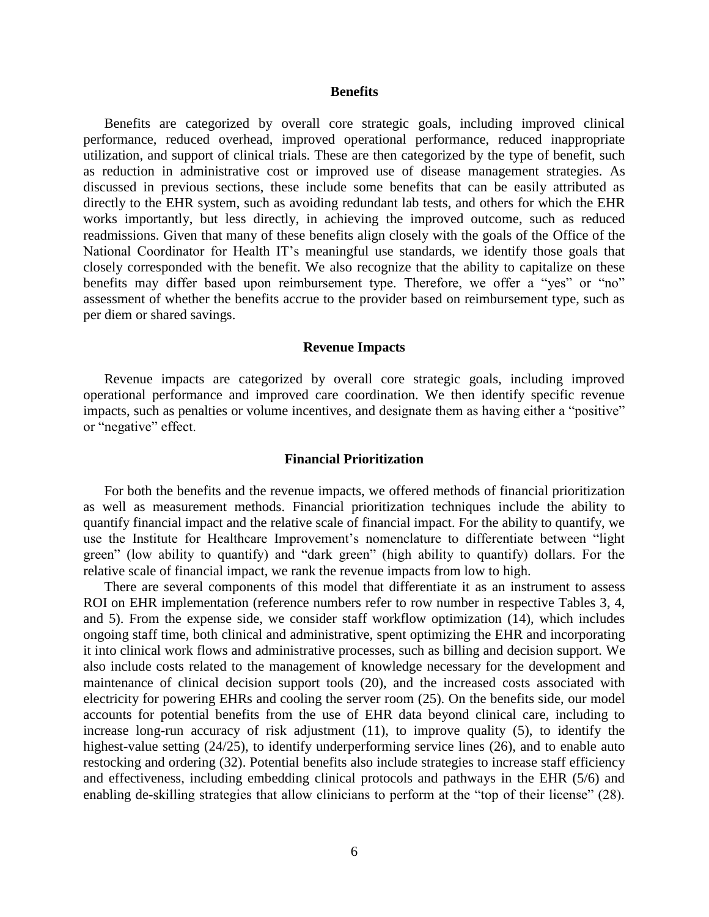#### **Benefits**

Benefits are categorized by overall core strategic goals, including improved clinical performance, reduced overhead, improved operational performance, reduced inappropriate utilization, and support of clinical trials. These are then categorized by the type of benefit, such as reduction in administrative cost or improved use of disease management strategies. As discussed in previous sections, these include some benefits that can be easily attributed as directly to the EHR system, such as avoiding redundant lab tests, and others for which the EHR works importantly, but less directly, in achieving the improved outcome, such as reduced readmissions. Given that many of these benefits align closely with the goals of the Office of the National Coordinator for Health IT's meaningful use standards, we identify those goals that closely corresponded with the benefit. We also recognize that the ability to capitalize on these benefits may differ based upon reimbursement type. Therefore, we offer a "yes" or "no" assessment of whether the benefits accrue to the provider based on reimbursement type, such as per diem or shared savings.

#### **Revenue Impacts**

Revenue impacts are categorized by overall core strategic goals, including improved operational performance and improved care coordination. We then identify specific revenue impacts, such as penalties or volume incentives, and designate them as having either a "positive" or "negative" effect.

#### **Financial Prioritization**

For both the benefits and the revenue impacts, we offered methods of financial prioritization as well as measurement methods. Financial prioritization techniques include the ability to quantify financial impact and the relative scale of financial impact. For the ability to quantify, we use the Institute for Healthcare Improvement's nomenclature to differentiate between "light green" (low ability to quantify) and "dark green" (high ability to quantify) dollars. For the relative scale of financial impact, we rank the revenue impacts from low to high.

There are several components of this model that differentiate it as an instrument to assess ROI on EHR implementation (reference numbers refer to row number in respective Tables 3, 4, and 5). From the expense side, we consider staff workflow optimization (14), which includes ongoing staff time, both clinical and administrative, spent optimizing the EHR and incorporating it into clinical work flows and administrative processes, such as billing and decision support. We also include costs related to the management of knowledge necessary for the development and maintenance of clinical decision support tools (20), and the increased costs associated with electricity for powering EHRs and cooling the server room (25). On the benefits side, our model accounts for potential benefits from the use of EHR data beyond clinical care, including to increase long-run accuracy of risk adjustment (11), to improve quality (5), to identify the highest-value setting (24/25), to identify underperforming service lines (26), and to enable auto restocking and ordering (32). Potential benefits also include strategies to increase staff efficiency and effectiveness, including embedding clinical protocols and pathways in the EHR (5/6) and enabling de-skilling strategies that allow clinicians to perform at the "top of their license" (28).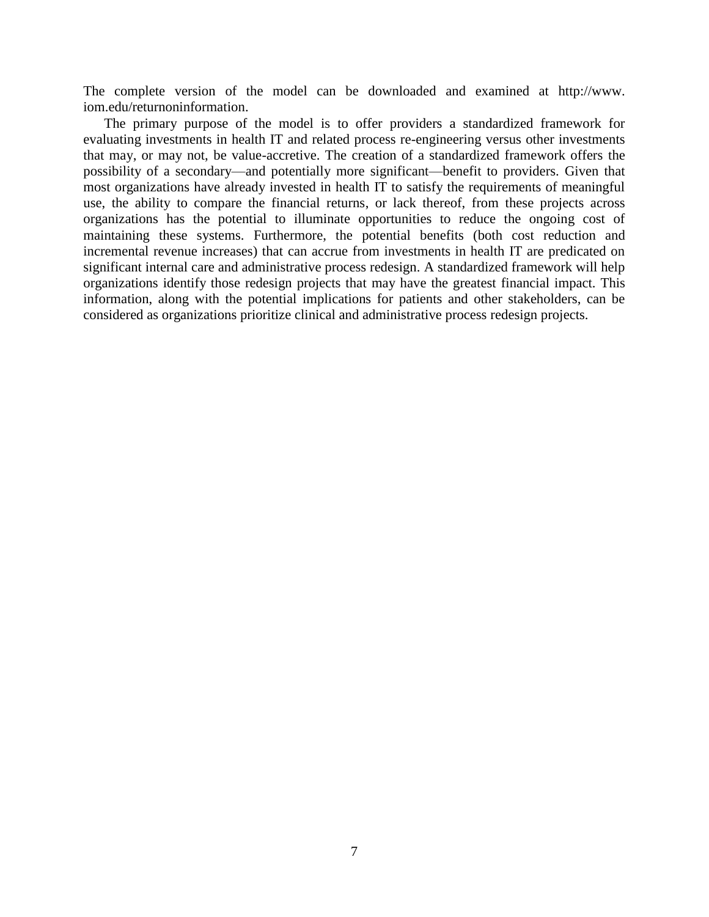The complete version of the model can be downloaded and examined at http://www. iom.edu/returnoninformation.

The primary purpose of the model is to offer providers a standardized framework for evaluating investments in health IT and related process re-engineering versus other investments that may, or may not, be value-accretive. The creation of a standardized framework offers the possibility of a secondary—and potentially more significant—benefit to providers. Given that most organizations have already invested in health IT to satisfy the requirements of meaningful use, the ability to compare the financial returns, or lack thereof, from these projects across organizations has the potential to illuminate opportunities to reduce the ongoing cost of maintaining these systems. Furthermore, the potential benefits (both cost reduction and incremental revenue increases) that can accrue from investments in health IT are predicated on significant internal care and administrative process redesign. A standardized framework will help organizations identify those redesign projects that may have the greatest financial impact. This information, along with the potential implications for patients and other stakeholders, can be considered as organizations prioritize clinical and administrative process redesign projects.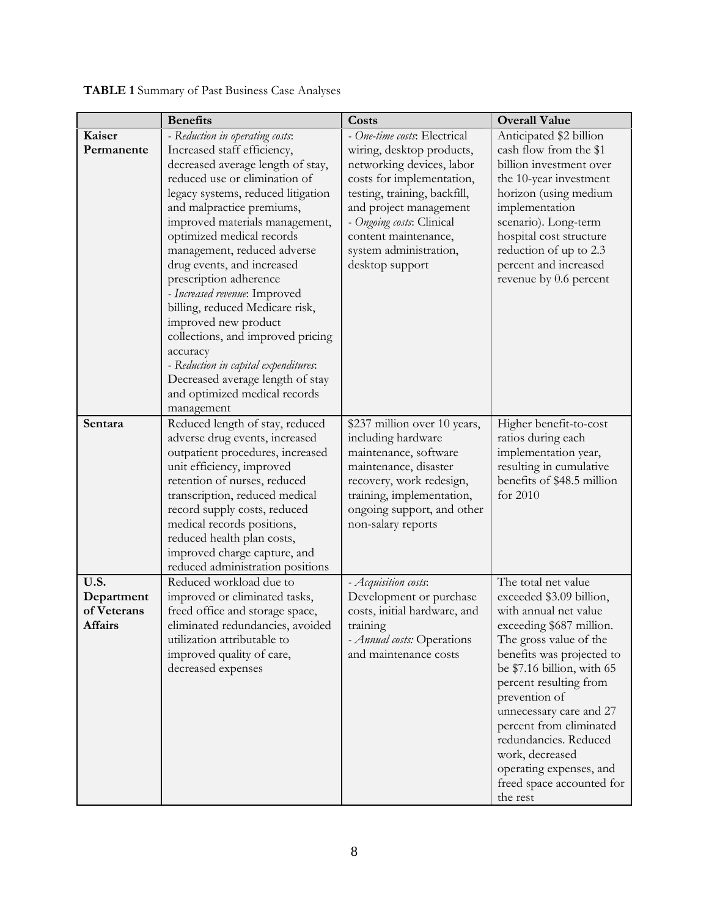|             | <b>Benefits</b>                                                   | Costs                        | <b>Overall Value</b>                                 |
|-------------|-------------------------------------------------------------------|------------------------------|------------------------------------------------------|
| Kaiser      | - Reduction in operating costs:                                   | - One-time costs: Electrical | Anticipated \$2 billion                              |
| Permanente  | Increased staff efficiency,                                       | wiring, desktop products,    | cash flow from the \$1                               |
|             | decreased average length of stay,                                 | networking devices, labor    | billion investment over                              |
|             | reduced use or elimination of                                     | costs for implementation,    | the 10-year investment                               |
|             | legacy systems, reduced litigation                                | testing, training, backfill, | horizon (using medium                                |
|             | and malpractice premiums,                                         | and project management       | implementation                                       |
|             | improved materials management,                                    | - Ongoing costs: Clinical    | scenario). Long-term                                 |
|             | optimized medical records                                         | content maintenance,         | hospital cost structure                              |
|             | management, reduced adverse                                       | system administration,       | reduction of up to 2.3                               |
|             | drug events, and increased                                        | desktop support              | percent and increased                                |
|             | prescription adherence                                            |                              | revenue by 0.6 percent                               |
|             | - Increased revenue: Improved                                     |                              |                                                      |
|             | billing, reduced Medicare risk,                                   |                              |                                                      |
|             | improved new product                                              |                              |                                                      |
|             | collections, and improved pricing                                 |                              |                                                      |
|             | accuracy                                                          |                              |                                                      |
|             | - Reduction in capital expenditures:                              |                              |                                                      |
|             | Decreased average length of stay<br>and optimized medical records |                              |                                                      |
|             | management                                                        |                              |                                                      |
| Sentara     | Reduced length of stay, reduced                                   | \$237 million over 10 years, | Higher benefit-to-cost                               |
|             | adverse drug events, increased                                    | including hardware           | ratios during each                                   |
|             | outpatient procedures, increased                                  | maintenance, software        | implementation year,                                 |
|             | unit efficiency, improved                                         | maintenance, disaster        | resulting in cumulative                              |
|             | retention of nurses, reduced                                      | recovery, work redesign,     | benefits of \$48.5 million                           |
|             | transcription, reduced medical                                    | training, implementation,    | for 2010                                             |
|             | record supply costs, reduced                                      | ongoing support, and other   |                                                      |
|             | medical records positions,                                        | non-salary reports           |                                                      |
|             | reduced health plan costs,                                        |                              |                                                      |
|             | improved charge capture, and                                      |                              |                                                      |
|             | reduced administration positions                                  |                              |                                                      |
| U.S.        | Reduced workload due to                                           | - Acquisition costs:         | The total net value                                  |
| Department  | improved or eliminated tasks,                                     | Development or purchase      | exceeded \$3.09 billion,                             |
| of Veterans | freed office and storage space,                                   | costs, initial hardware, and | with annual net value                                |
| Affairs     | eliminated redundancies, avoided                                  | training                     | exceeding \$687 million.                             |
|             | utilization attributable to                                       | - Annual costs: Operations   | The gross value of the                               |
|             | improved quality of care,                                         | and maintenance costs        | benefits was projected to                            |
|             | decreased expenses                                                |                              | be \$7.16 billion, with 65<br>percent resulting from |
|             |                                                                   |                              | prevention of                                        |
|             |                                                                   |                              | unnecessary care and 27                              |
|             |                                                                   |                              | percent from eliminated                              |
|             |                                                                   |                              | redundancies. Reduced                                |
|             |                                                                   |                              | work, decreased                                      |
|             |                                                                   |                              | operating expenses, and                              |
|             |                                                                   |                              | freed space accounted for                            |
|             |                                                                   |                              | the rest                                             |

**TABLE 1** Summary of Past Business Case Analyses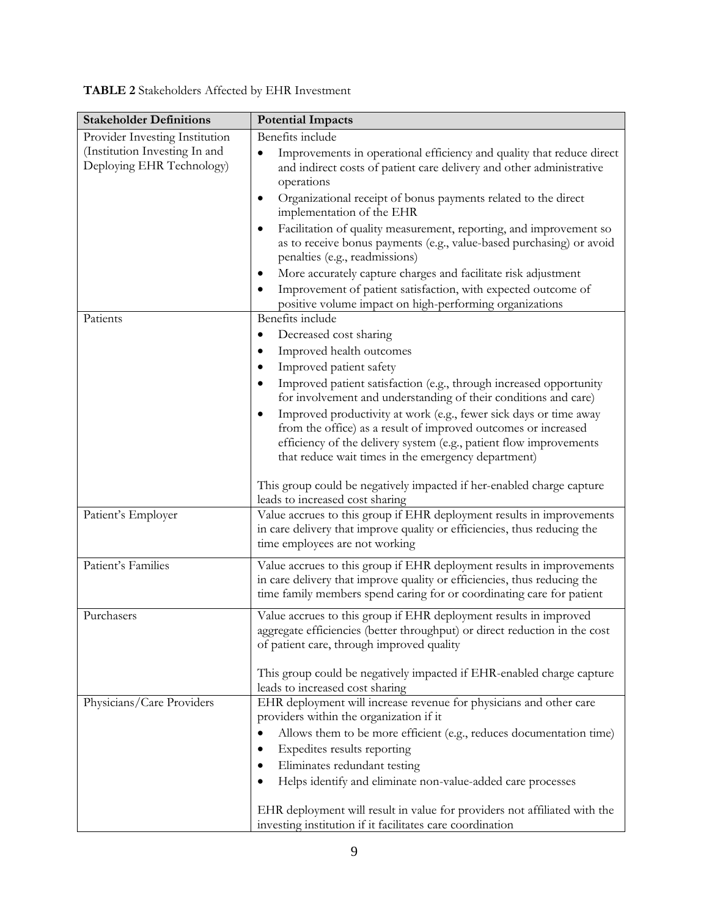| TABLE 2 Stakeholders Affected by EHR Investment |  |  |
|-------------------------------------------------|--|--|
|-------------------------------------------------|--|--|

| <b>Stakeholder Definitions</b>                                                               | <b>Potential Impacts</b>                                                                                                                                                                                                                                                                                                                                                                                                                                                                                                                                                                                                                                |
|----------------------------------------------------------------------------------------------|---------------------------------------------------------------------------------------------------------------------------------------------------------------------------------------------------------------------------------------------------------------------------------------------------------------------------------------------------------------------------------------------------------------------------------------------------------------------------------------------------------------------------------------------------------------------------------------------------------------------------------------------------------|
| Provider Investing Institution<br>(Institution Investing In and<br>Deploying EHR Technology) | Benefits include<br>Improvements in operational efficiency and quality that reduce direct<br>$\bullet$<br>and indirect costs of patient care delivery and other administrative<br>operations<br>Organizational receipt of bonus payments related to the direct<br>٠<br>implementation of the EHR<br>Facilitation of quality measurement, reporting, and improvement so<br>as to receive bonus payments (e.g., value-based purchasing) or avoid<br>penalties (e.g., readmissions)<br>More accurately capture charges and facilitate risk adjustment<br>٠<br>Improvement of patient satisfaction, with expected outcome of                                |
| Patients                                                                                     | positive volume impact on high-performing organizations<br>Benefits include<br>Decreased cost sharing<br>٠<br>Improved health outcomes<br>Improved patient safety<br>Improved patient satisfaction (e.g., through increased opportunity<br>for involvement and understanding of their conditions and care)<br>Improved productivity at work (e.g., fewer sick days or time away<br>from the office) as a result of improved outcomes or increased<br>efficiency of the delivery system (e.g., patient flow improvements<br>that reduce wait times in the emergency department)<br>This group could be negatively impacted if her-enabled charge capture |
| Patient's Employer                                                                           | leads to increased cost sharing<br>Value accrues to this group if EHR deployment results in improvements<br>in care delivery that improve quality or efficiencies, thus reducing the<br>time employees are not working                                                                                                                                                                                                                                                                                                                                                                                                                                  |
| Patient's Families                                                                           | Value accrues to this group if EHR deployment results in improvements<br>in care delivery that improve quality or efficiencies, thus reducing the<br>time family members spend caring for or coordinating care for patient                                                                                                                                                                                                                                                                                                                                                                                                                              |
| Purchasers                                                                                   | Value accrues to this group if EHR deployment results in improved<br>aggregate efficiencies (better throughput) or direct reduction in the cost<br>of patient care, through improved quality<br>This group could be negatively impacted if EHR-enabled charge capture<br>leads to increased cost sharing                                                                                                                                                                                                                                                                                                                                                |
| Physicians/Care Providers                                                                    | EHR deployment will increase revenue for physicians and other care<br>providers within the organization if it<br>Allows them to be more efficient (e.g., reduces documentation time)<br>٠<br>Expedites results reporting<br>Eliminates redundant testing<br>Helps identify and eliminate non-value-added care processes<br>EHR deployment will result in value for providers not affiliated with the<br>investing institution if it facilitates care coordination                                                                                                                                                                                       |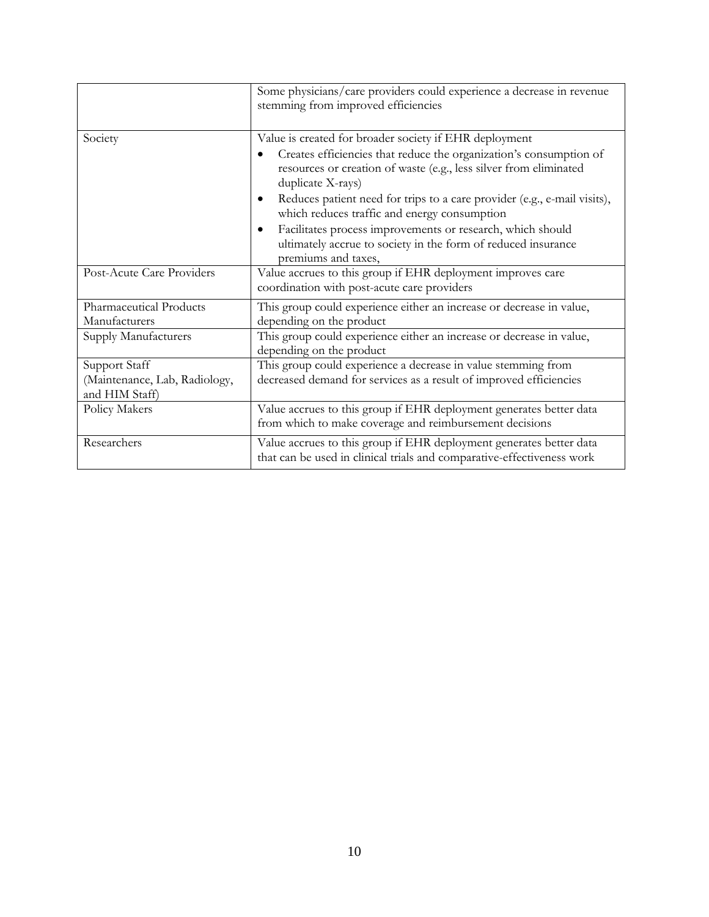|                                                                  | Some physicians/care providers could experience a decrease in revenue<br>stemming from improved efficiencies                                                                                                           |
|------------------------------------------------------------------|------------------------------------------------------------------------------------------------------------------------------------------------------------------------------------------------------------------------|
| Society                                                          | Value is created for broader society if EHR deployment<br>Creates efficiencies that reduce the organization's consumption of<br>resources or creation of waste (e.g., less silver from eliminated<br>duplicate X-rays) |
|                                                                  | Reduces patient need for trips to a care provider (e.g., e-mail visits),<br>which reduces traffic and energy consumption                                                                                               |
|                                                                  | Facilitates process improvements or research, which should<br>ultimately accrue to society in the form of reduced insurance<br>premiums and taxes,                                                                     |
| Post-Acute Care Providers                                        | Value accrues to this group if EHR deployment improves care<br>coordination with post-acute care providers                                                                                                             |
| Pharmaceutical Products<br>Manufacturers                         | This group could experience either an increase or decrease in value,<br>depending on the product                                                                                                                       |
| Supply Manufacturers                                             | This group could experience either an increase or decrease in value,<br>depending on the product                                                                                                                       |
| Support Staff<br>(Maintenance, Lab, Radiology,<br>and HIM Staff) | This group could experience a decrease in value stemming from<br>decreased demand for services as a result of improved efficiencies                                                                                    |
| Policy Makers                                                    | Value accrues to this group if EHR deployment generates better data<br>from which to make coverage and reimbursement decisions                                                                                         |
| Researchers                                                      | Value accrues to this group if EHR deployment generates better data<br>that can be used in clinical trials and comparative-effectiveness work                                                                          |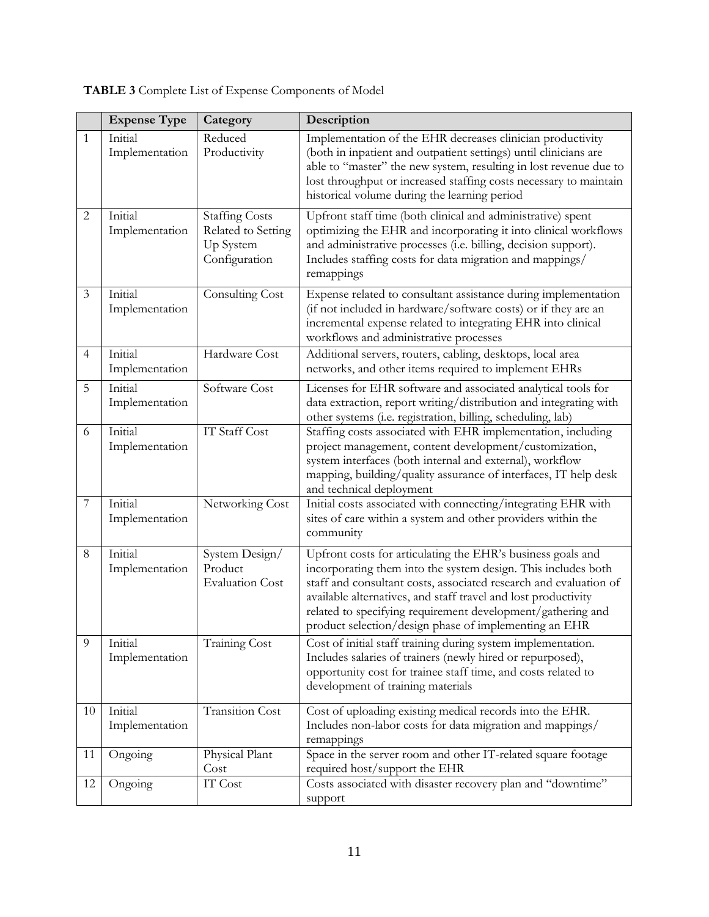|  | TABLE 3 Complete List of Expense Components of Model |  |  |  |
|--|------------------------------------------------------|--|--|--|
|--|------------------------------------------------------|--|--|--|

|                | <b>Expense Type</b>       | Category                                                                  | Description                                                                                                                                                                                                                                                                                                                                                                                 |  |  |
|----------------|---------------------------|---------------------------------------------------------------------------|---------------------------------------------------------------------------------------------------------------------------------------------------------------------------------------------------------------------------------------------------------------------------------------------------------------------------------------------------------------------------------------------|--|--|
| 1              | Initial<br>Implementation | Reduced<br>Productivity                                                   | Implementation of the EHR decreases clinician productivity<br>(both in inpatient and outpatient settings) until clinicians are<br>able to "master" the new system, resulting in lost revenue due to<br>lost throughput or increased staffing costs necessary to maintain<br>historical volume during the learning period                                                                    |  |  |
| $\overline{2}$ | Initial<br>Implementation | <b>Staffing Costs</b><br>Related to Setting<br>Up System<br>Configuration | Upfront staff time (both clinical and administrative) spent<br>optimizing the EHR and incorporating it into clinical workflows<br>and administrative processes (i.e. billing, decision support).<br>Includes staffing costs for data migration and mappings/<br>remappings                                                                                                                  |  |  |
| $\mathfrak{Z}$ | Initial<br>Implementation | Consulting Cost                                                           | Expense related to consultant assistance during implementation<br>(if not included in hardware/software costs) or if they are an<br>incremental expense related to integrating EHR into clinical<br>workflows and administrative processes                                                                                                                                                  |  |  |
| $\overline{4}$ | Initial<br>Implementation | Hardware Cost                                                             | Additional servers, routers, cabling, desktops, local area<br>networks, and other items required to implement EHRs                                                                                                                                                                                                                                                                          |  |  |
| 5              | Initial<br>Implementation | Software Cost                                                             | Licenses for EHR software and associated analytical tools for<br>data extraction, report writing/distribution and integrating with<br>other systems (i.e. registration, billing, scheduling, lab)                                                                                                                                                                                           |  |  |
| 6              | Initial<br>Implementation | <b>IT Staff Cost</b>                                                      | Staffing costs associated with EHR implementation, including<br>project management, content development/customization,<br>system interfaces (both internal and external), workflow<br>mapping, building/quality assurance of interfaces, IT help desk<br>and technical deployment                                                                                                           |  |  |
| $\overline{7}$ | Initial<br>Implementation | Networking Cost                                                           | Initial costs associated with connecting/integrating EHR with<br>sites of care within a system and other providers within the<br>community                                                                                                                                                                                                                                                  |  |  |
| 8              | Initial<br>Implementation | System Design/<br>Product<br><b>Evaluation Cost</b>                       | Upfront costs for articulating the EHR's business goals and<br>incorporating them into the system design. This includes both<br>staff and consultant costs, associated research and evaluation of<br>available alternatives, and staff travel and lost productivity<br>related to specifying requirement development/gathering and<br>product selection/design phase of implementing an EHR |  |  |
| 9              | Initial<br>Implementation | <b>Training Cost</b>                                                      | Cost of initial staff training during system implementation.<br>Includes salaries of trainers (newly hired or repurposed),<br>opportunity cost for trainee staff time, and costs related to<br>development of training materials                                                                                                                                                            |  |  |
| 10             | Initial<br>Implementation | <b>Transition Cost</b>                                                    | Cost of uploading existing medical records into the EHR.<br>Includes non-labor costs for data migration and mappings/<br>remappings                                                                                                                                                                                                                                                         |  |  |
| 11             | Ongoing                   | Physical Plant<br>Cost                                                    | Space in the server room and other IT-related square footage<br>required host/support the EHR                                                                                                                                                                                                                                                                                               |  |  |
| 12             | Ongoing                   | IT Cost                                                                   | Costs associated with disaster recovery plan and "downtime"<br>support                                                                                                                                                                                                                                                                                                                      |  |  |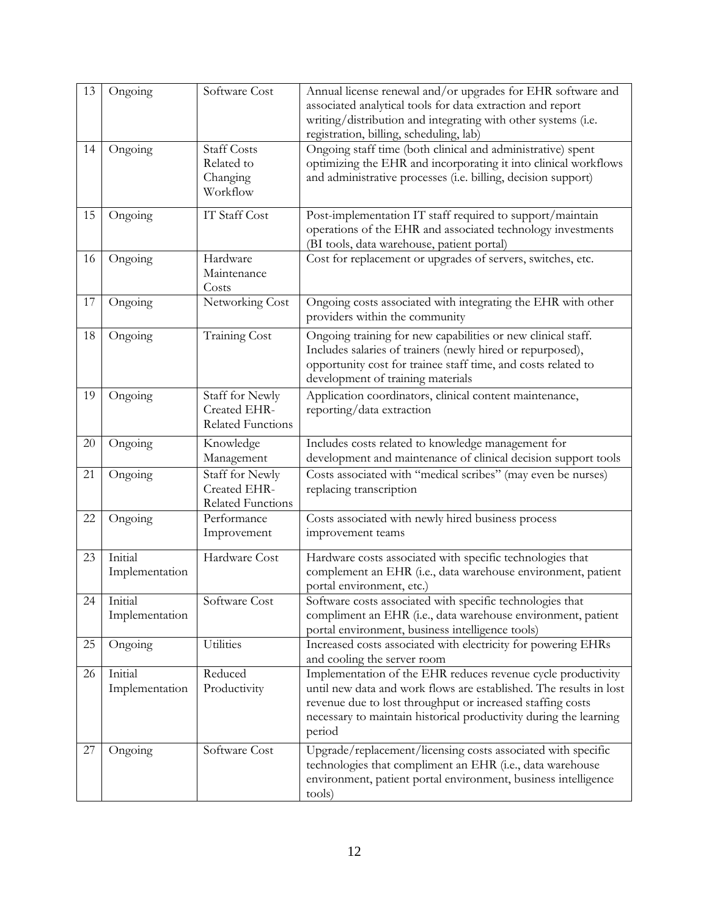| 13     | Ongoing                      | Software Cost                                               | Annual license renewal and/or upgrades for EHR software and<br>associated analytical tools for data extraction and report<br>writing/distribution and integrating with other systems (i.e.<br>registration, billing, scheduling, lab)                                           |  |
|--------|------------------------------|-------------------------------------------------------------|---------------------------------------------------------------------------------------------------------------------------------------------------------------------------------------------------------------------------------------------------------------------------------|--|
| 14     | Ongoing                      | <b>Staff Costs</b><br>Related to<br>Changing<br>Workflow    | Ongoing staff time (both clinical and administrative) spent<br>optimizing the EHR and incorporating it into clinical workflows<br>and administrative processes (i.e. billing, decision support)                                                                                 |  |
| 15     | Ongoing                      | <b>IT Staff Cost</b>                                        | Post-implementation IT staff required to support/maintain<br>operations of the EHR and associated technology investments<br>(BI tools, data warehouse, patient portal)                                                                                                          |  |
| 16     | Ongoing                      | Hardware<br>Maintenance<br>Costs                            | Cost for replacement or upgrades of servers, switches, etc.                                                                                                                                                                                                                     |  |
| 17     | Ongoing                      | Networking Cost                                             | Ongoing costs associated with integrating the EHR with other<br>providers within the community                                                                                                                                                                                  |  |
| 18     | Ongoing                      | <b>Training Cost</b>                                        | Ongoing training for new capabilities or new clinical staff.<br>Includes salaries of trainers (newly hired or repurposed),<br>opportunity cost for trainee staff time, and costs related to<br>development of training materials                                                |  |
| 19     | Ongoing                      | Staff for Newly<br>Created EHR-<br><b>Related Functions</b> | Application coordinators, clinical content maintenance,<br>reporting/data extraction                                                                                                                                                                                            |  |
| $20\,$ | Ongoing                      | Knowledge<br>Management                                     | Includes costs related to knowledge management for<br>development and maintenance of clinical decision support tools                                                                                                                                                            |  |
| 21     | Ongoing                      | Staff for Newly<br>Created EHR-<br>Related Functions        | Costs associated with "medical scribes" (may even be nurses)<br>replacing transcription                                                                                                                                                                                         |  |
| 22     | Ongoing                      | Performance<br>Improvement                                  | Costs associated with newly hired business process<br>improvement teams                                                                                                                                                                                                         |  |
| 23     | Initial<br>Implementation    | Hardware Cost                                               | Hardware costs associated with specific technologies that<br>complement an EHR (i.e., data warehouse environment, patient<br>portal environment, etc.)                                                                                                                          |  |
|        | 24 Initial<br>Implementation | Software Cost                                               | Software costs associated with specific technologies that<br>compliment an EHR (i.e., data warehouse environment, patient<br>portal environment, business intelligence tools)                                                                                                   |  |
| 25     | Ongoing                      | Utilities                                                   | Increased costs associated with electricity for powering EHRs<br>and cooling the server room                                                                                                                                                                                    |  |
| 26     | Initial<br>Implementation    | Reduced<br>Productivity                                     | Implementation of the EHR reduces revenue cycle productivity<br>until new data and work flows are established. The results in lost<br>revenue due to lost throughput or increased staffing costs<br>necessary to maintain historical productivity during the learning<br>period |  |
| 27     | Ongoing                      | Software Cost                                               | Upgrade/replacement/licensing costs associated with specific<br>technologies that compliment an EHR (i.e., data warehouse<br>environment, patient portal environment, business intelligence<br>tools)                                                                           |  |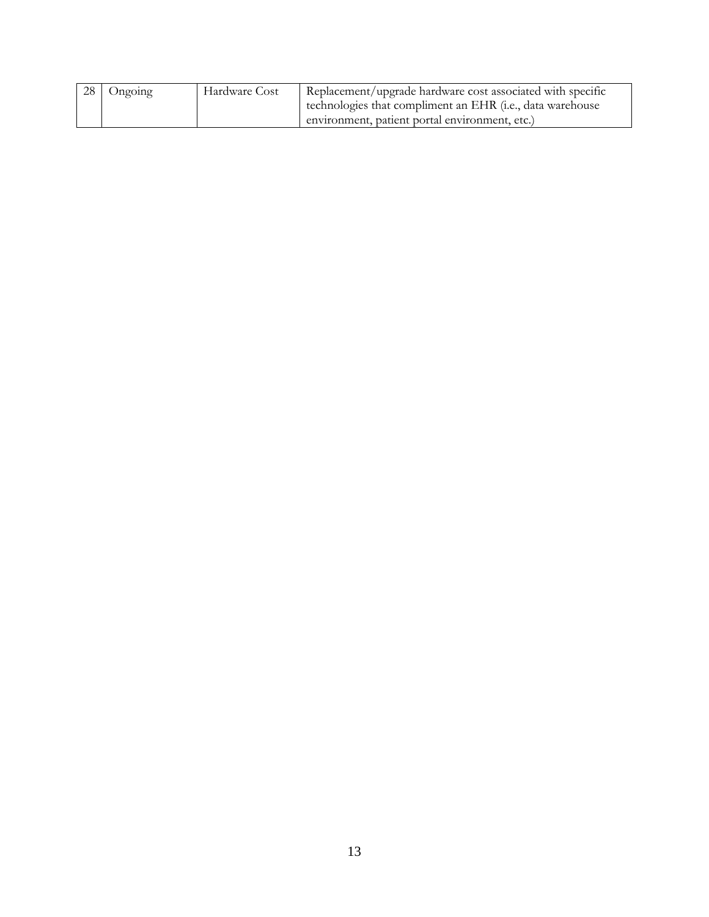| 28 Ongoing | Hardware Cost | Replacement/upgrade hardware cost associated with specific         |
|------------|---------------|--------------------------------------------------------------------|
|            |               | technologies that compliment an EHR ( <i>i.e.</i> , data warehouse |
|            |               | environment, patient portal environment, etc.)                     |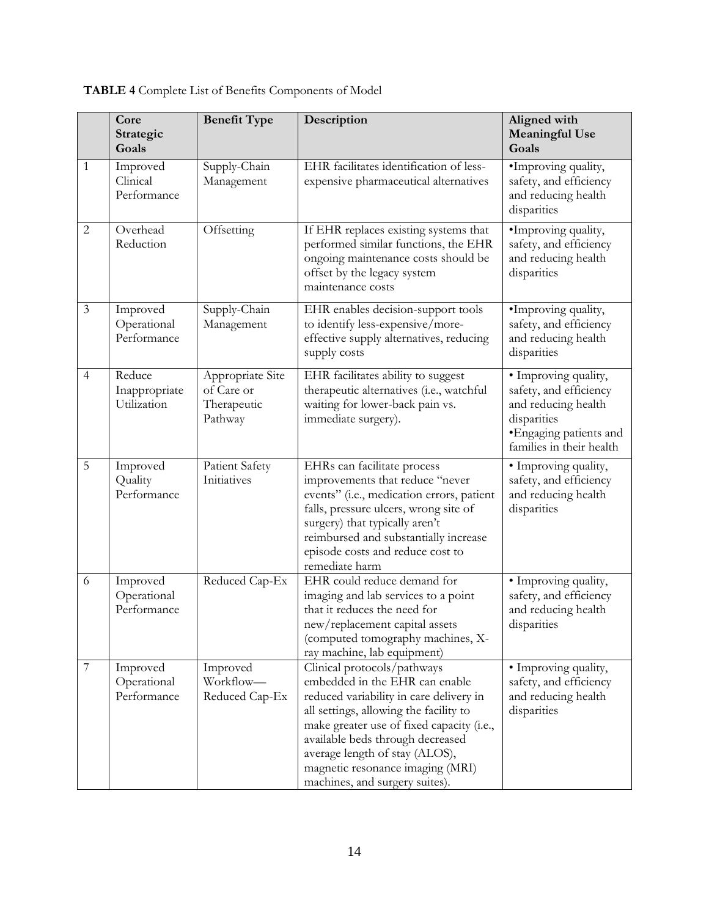|                | Core<br>Strategic<br>Goals             | <b>Benefit Type</b>                                      | Description                                                                                                                                                                                                                                                                                                                                 | Aligned with<br><b>Meaningful Use</b><br>Goals                                                                                              |
|----------------|----------------------------------------|----------------------------------------------------------|---------------------------------------------------------------------------------------------------------------------------------------------------------------------------------------------------------------------------------------------------------------------------------------------------------------------------------------------|---------------------------------------------------------------------------------------------------------------------------------------------|
| 1              | Improved<br>Clinical<br>Performance    | Supply-Chain<br>Management                               | EHR facilitates identification of less-<br>expensive pharmaceutical alternatives                                                                                                                                                                                                                                                            | ·Improving quality,<br>safety, and efficiency<br>and reducing health<br>disparities                                                         |
| $\overline{c}$ | Overhead<br>Reduction                  | Offsetting                                               | If EHR replaces existing systems that<br>performed similar functions, the EHR<br>ongoing maintenance costs should be<br>offset by the legacy system<br>maintenance costs                                                                                                                                                                    | ·Improving quality,<br>safety, and efficiency<br>and reducing health<br>disparities                                                         |
| 3              | Improved<br>Operational<br>Performance | Supply-Chain<br>Management                               | EHR enables decision-support tools<br>to identify less-expensive/more-<br>effective supply alternatives, reducing<br>supply costs                                                                                                                                                                                                           | •Improving quality,<br>safety, and efficiency<br>and reducing health<br>disparities                                                         |
| $\overline{4}$ | Reduce<br>Inappropriate<br>Utilization | Appropriate Site<br>of Care or<br>Therapeutic<br>Pathway | EHR facilitates ability to suggest<br>therapeutic alternatives (i.e., watchful<br>waiting for lower-back pain vs.<br>immediate surgery).                                                                                                                                                                                                    | · Improving quality,<br>safety, and efficiency<br>and reducing health<br>disparities<br>• Engaging patients and<br>families in their health |
| 5              | Improved<br>Quality<br>Performance     | Patient Safety<br>Initiatives                            | EHRs can facilitate process<br>improvements that reduce "never<br>events" (i.e., medication errors, patient<br>falls, pressure ulcers, wrong site of<br>surgery) that typically aren't<br>reimbursed and substantially increase<br>episode costs and reduce cost to<br>remediate harm                                                       | · Improving quality,<br>safety, and efficiency<br>and reducing health<br>disparities                                                        |
| 6              | Improved<br>Operational<br>Performance | Reduced Cap-Ex                                           | EHR could reduce demand for<br>imaging and lab services to a point<br>that it reduces the need for<br>new/replacement capital assets<br>(computed tomography machines, X-<br>ray machine, lab equipment)                                                                                                                                    | · Improving quality,<br>safety, and efficiency<br>and reducing health<br>disparities                                                        |
| 7              | Improved<br>Operational<br>Performance | Improved<br>Workflow-<br>Reduced Cap-Ex                  | Clinical protocols/pathways<br>embedded in the EHR can enable<br>reduced variability in care delivery in<br>all settings, allowing the facility to<br>make greater use of fixed capacity (i.e.,<br>available beds through decreased<br>average length of stay (ALOS),<br>magnetic resonance imaging (MRI)<br>machines, and surgery suites). | • Improving quality,<br>safety, and efficiency<br>and reducing health<br>disparities                                                        |

# **TABLE 4** Complete List of Benefits Components of Model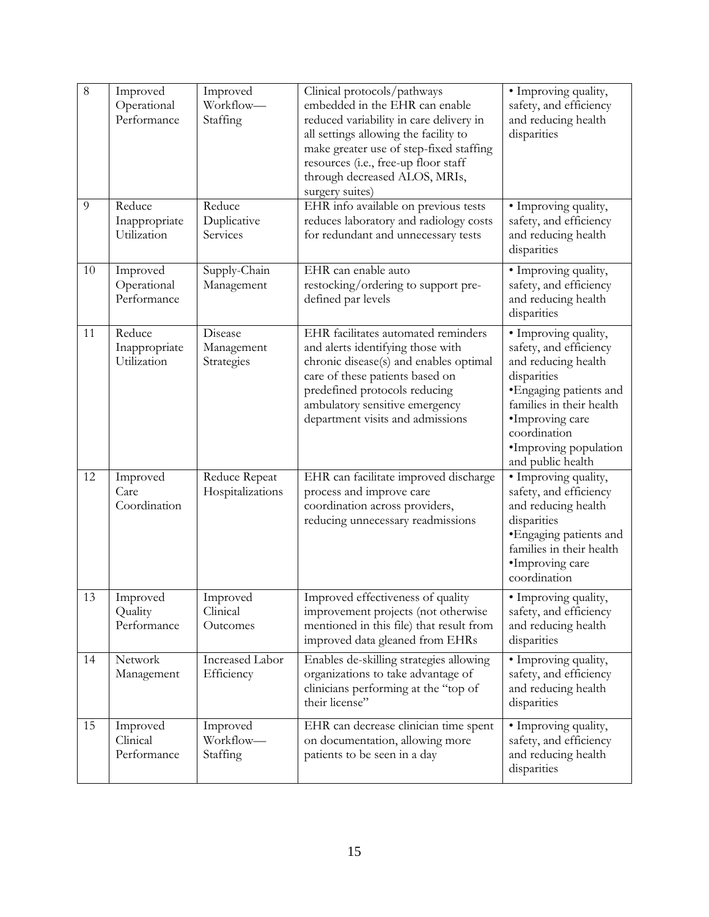| 8  | Improved<br>Operational<br>Performance | Improved<br>Workflow-<br>Staffing   | Clinical protocols/pathways<br>embedded in the EHR can enable<br>reduced variability in care delivery in<br>all settings allowing the facility to<br>make greater use of step-fixed staffing<br>resources (i.e., free-up floor staff<br>through decreased ALOS, MRIs,<br>surgery suites) | · Improving quality,<br>safety, and efficiency<br>and reducing health<br>disparities                                                                                                                                         |
|----|----------------------------------------|-------------------------------------|------------------------------------------------------------------------------------------------------------------------------------------------------------------------------------------------------------------------------------------------------------------------------------------|------------------------------------------------------------------------------------------------------------------------------------------------------------------------------------------------------------------------------|
| 9  | Reduce<br>Inappropriate<br>Utilization | Reduce<br>Duplicative<br>Services   | EHR info available on previous tests<br>reduces laboratory and radiology costs<br>for redundant and unnecessary tests                                                                                                                                                                    | · Improving quality,<br>safety, and efficiency<br>and reducing health<br>disparities                                                                                                                                         |
| 10 | Improved<br>Operational<br>Performance | Supply-Chain<br>Management          | EHR can enable auto<br>restocking/ordering to support pre-<br>defined par levels                                                                                                                                                                                                         | · Improving quality,<br>safety, and efficiency<br>and reducing health<br>disparities                                                                                                                                         |
| 11 | Reduce<br>Inappropriate<br>Utilization | Disease<br>Management<br>Strategies | EHR facilitates automated reminders<br>and alerts identifying those with<br>chronic disease(s) and enables optimal<br>care of these patients based on<br>predefined protocols reducing<br>ambulatory sensitive emergency<br>department visits and admissions                             | · Improving quality,<br>safety, and efficiency<br>and reducing health<br>disparities<br>• Engaging patients and<br>families in their health<br>·Improving care<br>coordination<br>·Improving population<br>and public health |
| 12 | Improved<br>Care<br>Coordination       | Reduce Repeat<br>Hospitalizations   | EHR can facilitate improved discharge<br>process and improve care<br>coordination across providers,<br>reducing unnecessary readmissions                                                                                                                                                 | · Improving quality,<br>safety, and efficiency<br>and reducing health<br>disparities<br>· Engaging patients and<br>families in their health<br>·Improving care<br>coordination                                               |
| 13 | Improved<br>Quality<br>Performance     | Improved<br>Clinical<br>Outcomes    | Improved effectiveness of quality<br>improvement projects (not otherwise<br>mentioned in this file) that result from<br>improved data gleaned from EHRs                                                                                                                                  | · Improving quality,<br>safety, and efficiency<br>and reducing health<br>disparities                                                                                                                                         |
| 14 | Network<br>Management                  | Increased Labor<br>Efficiency       | Enables de-skilling strategies allowing<br>organizations to take advantage of<br>clinicians performing at the "top of<br>their license"                                                                                                                                                  | · Improving quality,<br>safety, and efficiency<br>and reducing health<br>disparities                                                                                                                                         |
| 15 | Improved<br>Clinical<br>Performance    | Improved<br>Workflow-<br>Staffing   | EHR can decrease clinician time spent<br>on documentation, allowing more<br>patients to be seen in a day                                                                                                                                                                                 | · Improving quality,<br>safety, and efficiency<br>and reducing health<br>disparities                                                                                                                                         |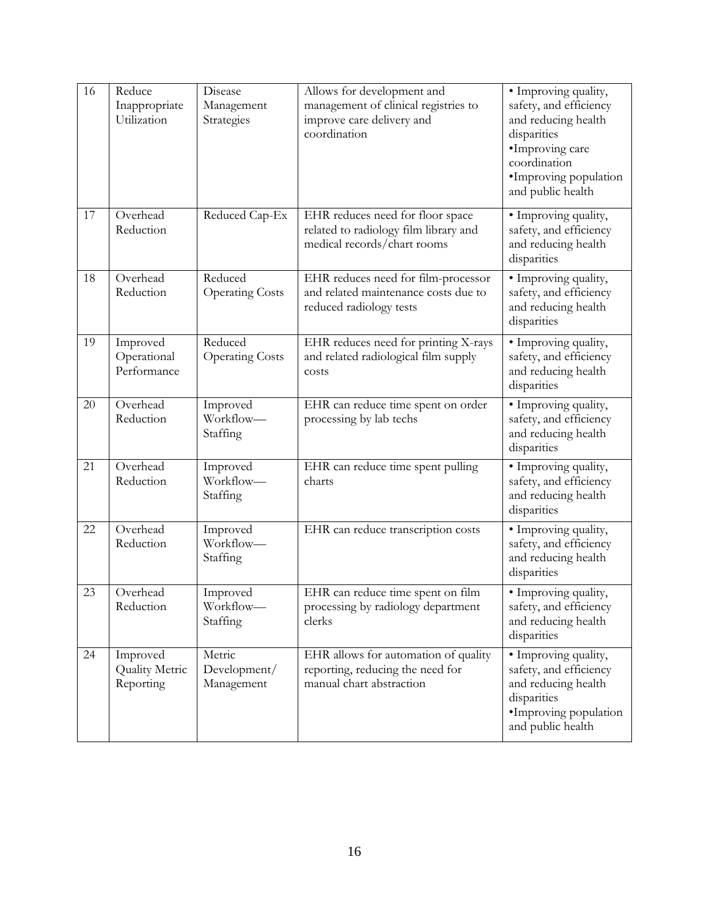| 16 | Reduce<br>Inappropriate<br>Utilization         | Disease<br>Management<br>Strategies  | Allows for development and<br>management of clinical registries to<br>improve care delivery and<br>coordination | · Improving quality,<br>safety, and efficiency<br>and reducing health<br>disparities<br>·Improving care<br>coordination<br>·Improving population<br>and public health |
|----|------------------------------------------------|--------------------------------------|-----------------------------------------------------------------------------------------------------------------|-----------------------------------------------------------------------------------------------------------------------------------------------------------------------|
| 17 | Overhead<br>Reduction                          | Reduced Cap-Ex                       | EHR reduces need for floor space<br>related to radiology film library and<br>medical records/chart rooms        | • Improving quality,<br>safety, and efficiency<br>and reducing health<br>disparities                                                                                  |
| 18 | Overhead<br>Reduction                          | Reduced<br><b>Operating Costs</b>    | EHR reduces need for film-processor<br>and related maintenance costs due to<br>reduced radiology tests          | · Improving quality,<br>safety, and efficiency<br>and reducing health<br>disparities                                                                                  |
| 19 | Improved<br>Operational<br>Performance         | Reduced<br><b>Operating Costs</b>    | EHR reduces need for printing X-rays<br>and related radiological film supply<br>costs                           | · Improving quality,<br>safety, and efficiency<br>and reducing health<br>disparities                                                                                  |
| 20 | Overhead<br>Reduction                          | Improved<br>Workflow-<br>Staffing    | EHR can reduce time spent on order<br>processing by lab techs                                                   | · Improving quality,<br>safety, and efficiency<br>and reducing health<br>disparities                                                                                  |
| 21 | Overhead<br>Reduction                          | Improved<br>Workflow-<br>Staffing    | EHR can reduce time spent pulling<br>charts                                                                     | · Improving quality,<br>safety, and efficiency<br>and reducing health<br>disparities                                                                                  |
| 22 | Overhead<br>Reduction                          | Improved<br>Workflow-<br>Staffing    | EHR can reduce transcription costs                                                                              | · Improving quality,<br>safety, and efficiency<br>and reducing health<br>disparities                                                                                  |
| 23 | Overhead<br>Reduction                          | Improved<br>Workflow-<br>Staffing    | EHR can reduce time spent on film<br>processing by radiology department<br>clerks                               | · Improving quality,<br>safety, and efficiency<br>and reducing health<br>disparities                                                                                  |
| 24 | Improved<br><b>Quality Metric</b><br>Reporting | Metric<br>Development/<br>Management | EHR allows for automation of quality<br>reporting, reducing the need for<br>manual chart abstraction            | · Improving quality,<br>safety, and efficiency<br>and reducing health<br>disparities<br>•Improving population<br>and public health                                    |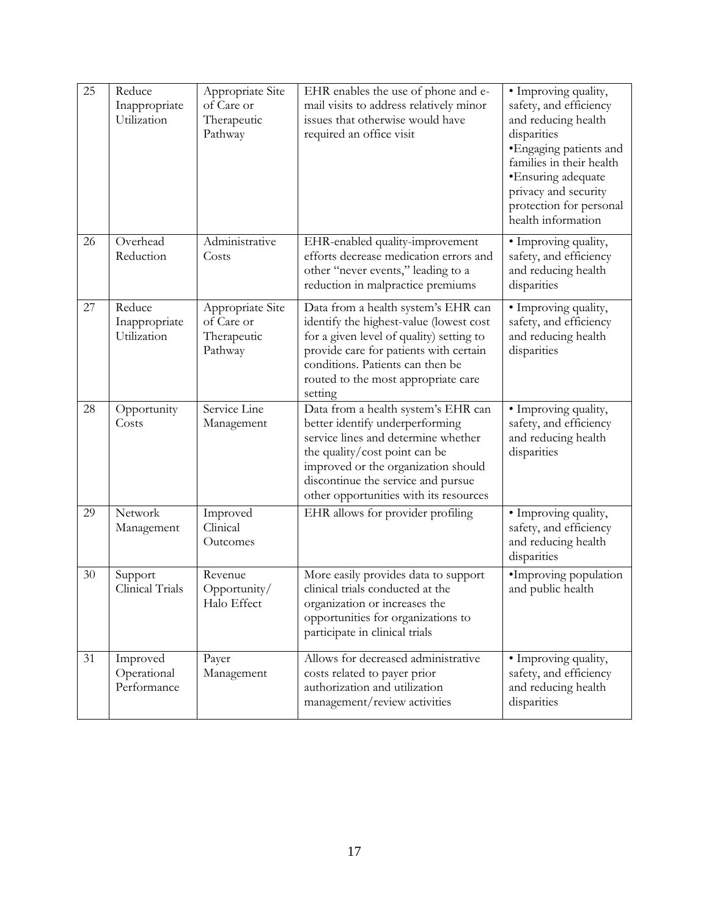| 25 | Reduce<br>Inappropriate<br>Utilization | Appropriate Site<br>of Care or<br>Therapeutic<br>Pathway | EHR enables the use of phone and e-<br>mail visits to address relatively minor<br>issues that otherwise would have<br>required an office visit                                                                                                                        | · Improving quality,<br>safety, and efficiency<br>and reducing health<br>disparities<br>· Engaging patients and<br>families in their health<br>•Ensuring adequate<br>privacy and security<br>protection for personal<br>health information |
|----|----------------------------------------|----------------------------------------------------------|-----------------------------------------------------------------------------------------------------------------------------------------------------------------------------------------------------------------------------------------------------------------------|--------------------------------------------------------------------------------------------------------------------------------------------------------------------------------------------------------------------------------------------|
| 26 | Overhead<br>Reduction                  | Administrative<br>Costs                                  | EHR-enabled quality-improvement<br>efforts decrease medication errors and<br>other "never events," leading to a<br>reduction in malpractice premiums                                                                                                                  | • Improving quality,<br>safety, and efficiency<br>and reducing health<br>disparities                                                                                                                                                       |
| 27 | Reduce<br>Inappropriate<br>Utilization | Appropriate Site<br>of Care or<br>Therapeutic<br>Pathway | Data from a health system's EHR can<br>identify the highest-value (lowest cost<br>for a given level of quality) setting to<br>provide care for patients with certain<br>conditions. Patients can then be<br>routed to the most appropriate care<br>setting            | · Improving quality,<br>safety, and efficiency<br>and reducing health<br>disparities                                                                                                                                                       |
| 28 | Opportunity<br>Costs                   | Service Line<br>Management                               | Data from a health system's EHR can<br>better identify underperforming<br>service lines and determine whether<br>the quality/cost point can be<br>improved or the organization should<br>discontinue the service and pursue<br>other opportunities with its resources | · Improving quality,<br>safety, and efficiency<br>and reducing health<br>disparities                                                                                                                                                       |
| 29 | Network<br>Management                  | Improved<br>Clinical<br>Outcomes                         | EHR allows for provider profiling                                                                                                                                                                                                                                     | · Improving quality,<br>safety, and efficiency<br>and reducing health<br>disparities                                                                                                                                                       |
| 30 | Support<br>Clinical Trials             | Revenue<br>Opportunity/<br>Halo Effect                   | More easily provides data to support<br>clinical trials conducted at the<br>organization or increases the<br>opportunities for organizations to<br>participate in clinical trials                                                                                     | •Improving population<br>and public health                                                                                                                                                                                                 |
| 31 | Improved<br>Operational<br>Performance | Payer<br>Management                                      | Allows for decreased administrative<br>costs related to payer prior<br>authorization and utilization<br>management/review activities                                                                                                                                  | • Improving quality,<br>safety, and efficiency<br>and reducing health<br>disparities                                                                                                                                                       |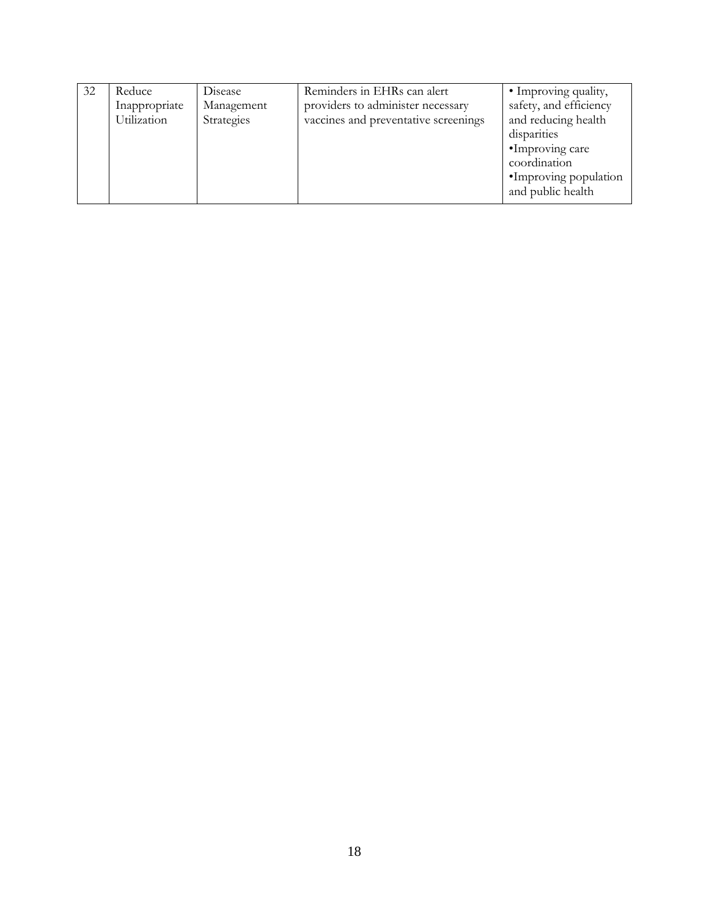| 32 | Reduce        | Disease    | Reminders in EHRs can alert          | • Improving quality,   |
|----|---------------|------------|--------------------------------------|------------------------|
|    | Inappropriate | Management | providers to administer necessary    | safety, and efficiency |
|    | Utilization   | Strategies | vaccines and preventative screenings | and reducing health    |
|    |               |            |                                      | disparities            |
|    |               |            |                                      | •Improving care        |
|    |               |            |                                      | coordination           |
|    |               |            |                                      | •Improving population  |
|    |               |            |                                      | and public health      |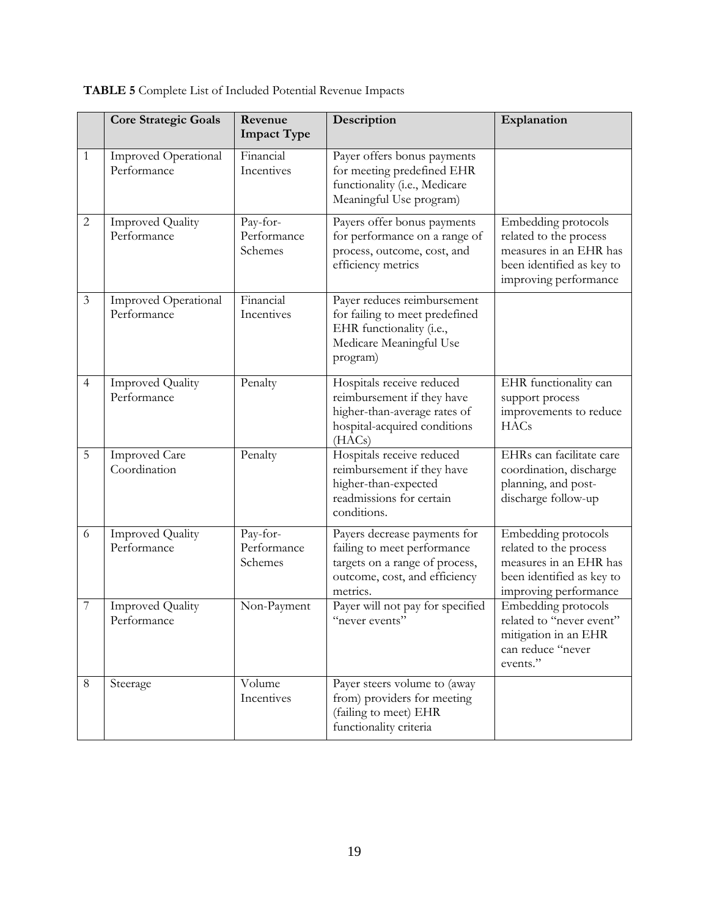|                | <b>Core Strategic Goals</b>                | Revenue<br><b>Impact Type</b>      | Description                                                                                                                                | Explanation                                                                                                                   |
|----------------|--------------------------------------------|------------------------------------|--------------------------------------------------------------------------------------------------------------------------------------------|-------------------------------------------------------------------------------------------------------------------------------|
| 1              | <b>Improved Operational</b><br>Performance | Financial<br>Incentives            | Payer offers bonus payments<br>for meeting predefined EHR<br>functionality (i.e., Medicare<br>Meaningful Use program)                      |                                                                                                                               |
| $\overline{2}$ | <b>Improved Quality</b><br>Performance     | Pay-for-<br>Performance<br>Schemes | Payers offer bonus payments<br>for performance on a range of<br>process, outcome, cost, and<br>efficiency metrics                          | Embedding protocols<br>related to the process<br>measures in an EHR has<br>been identified as key to<br>improving performance |
| $\mathfrak{Z}$ | <b>Improved Operational</b><br>Performance | Financial<br>Incentives            | Payer reduces reimbursement<br>for failing to meet predefined<br>EHR functionality (i.e.,<br>Medicare Meaningful Use<br>program)           |                                                                                                                               |
| $\overline{4}$ | <b>Improved Quality</b><br>Performance     | Penalty                            | Hospitals receive reduced<br>reimbursement if they have<br>higher-than-average rates of<br>hospital-acquired conditions<br>(HACs)          | EHR functionality can<br>support process<br>improvements to reduce<br><b>HACs</b>                                             |
| 5              | <b>Improved Care</b><br>Coordination       | Penalty                            | Hospitals receive reduced<br>reimbursement if they have<br>higher-than-expected<br>readmissions for certain<br>conditions.                 | EHRs can facilitate care<br>coordination, discharge<br>planning, and post-<br>discharge follow-up                             |
| 6              | <b>Improved Quality</b><br>Performance     | Pay-for-<br>Performance<br>Schemes | Payers decrease payments for<br>failing to meet performance<br>targets on a range of process,<br>outcome, cost, and efficiency<br>metrics. | Embedding protocols<br>related to the process<br>measures in an EHR has<br>been identified as key to<br>improving performance |
| $\overline{7}$ | <b>Improved Quality</b><br>Performance     | Non-Payment                        | Payer will not pay for specified<br>"never events"                                                                                         | Embedding protocols<br>related to "never event"<br>mitigation in an EHR<br>can reduce "never<br>events."                      |
| 8              | Steerage                                   | Volume<br>Incentives               | Payer steers volume to (away<br>from) providers for meeting<br>(failing to meet) EHR<br>functionality criteria                             |                                                                                                                               |

**TABLE 5** Complete List of Included Potential Revenue Impacts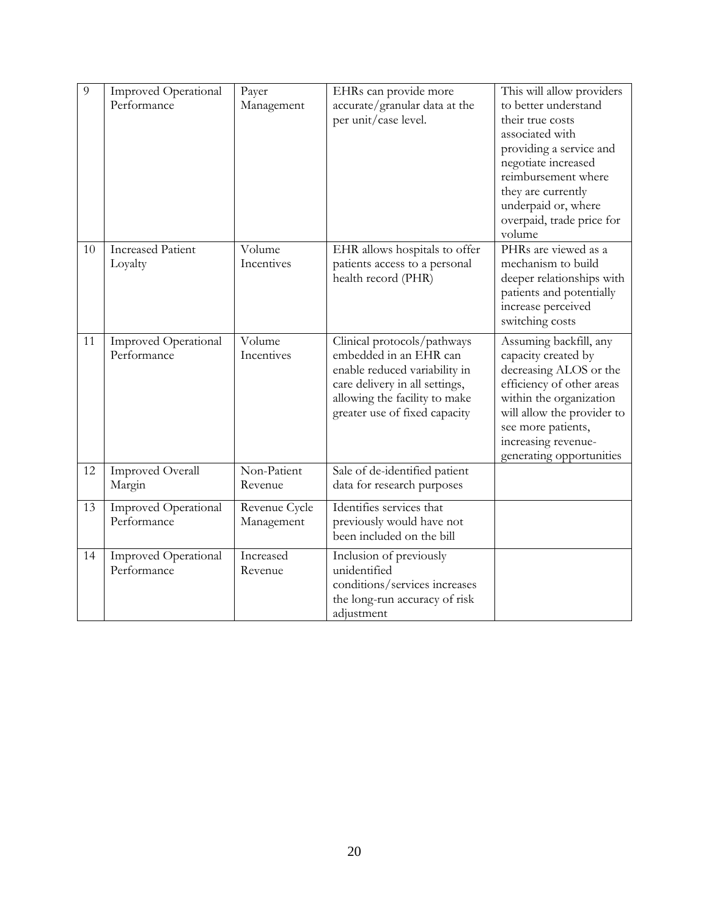| 9  | <b>Improved Operational</b><br>Performance | Payer<br>Management         | EHRs can provide more<br>accurate/granular data at the<br>per unit/case level.                                                                                                             | This will allow providers<br>to better understand<br>their true costs<br>associated with<br>providing a service and<br>negotiate increased<br>reimbursement where<br>they are currently<br>underpaid or, where<br>overpaid, trade price for<br>volume |
|----|--------------------------------------------|-----------------------------|--------------------------------------------------------------------------------------------------------------------------------------------------------------------------------------------|-------------------------------------------------------------------------------------------------------------------------------------------------------------------------------------------------------------------------------------------------------|
| 10 | <b>Increased Patient</b><br>Loyalty        | Volume<br>Incentives        | EHR allows hospitals to offer<br>patients access to a personal<br>health record (PHR)                                                                                                      | PHRs are viewed as a<br>mechanism to build<br>deeper relationships with<br>patients and potentially<br>increase perceived<br>switching costs                                                                                                          |
| 11 | <b>Improved Operational</b><br>Performance | Volume<br>Incentives        | Clinical protocols/pathways<br>embedded in an EHR can<br>enable reduced variability in<br>care delivery in all settings,<br>allowing the facility to make<br>greater use of fixed capacity | Assuming backfill, any<br>capacity created by<br>decreasing ALOS or the<br>efficiency of other areas<br>within the organization<br>will allow the provider to<br>see more patients,<br>increasing revenue-<br>generating opportunities                |
| 12 | Improved Overall<br>Margin                 | Non-Patient<br>Revenue      | Sale of de-identified patient<br>data for research purposes                                                                                                                                |                                                                                                                                                                                                                                                       |
| 13 | Improved Operational<br>Performance        | Revenue Cycle<br>Management | Identifies services that<br>previously would have not<br>been included on the bill                                                                                                         |                                                                                                                                                                                                                                                       |
| 14 | <b>Improved Operational</b><br>Performance | Increased<br>Revenue        | Inclusion of previously<br>unidentified<br>conditions/services increases<br>the long-run accuracy of risk<br>adjustment                                                                    |                                                                                                                                                                                                                                                       |